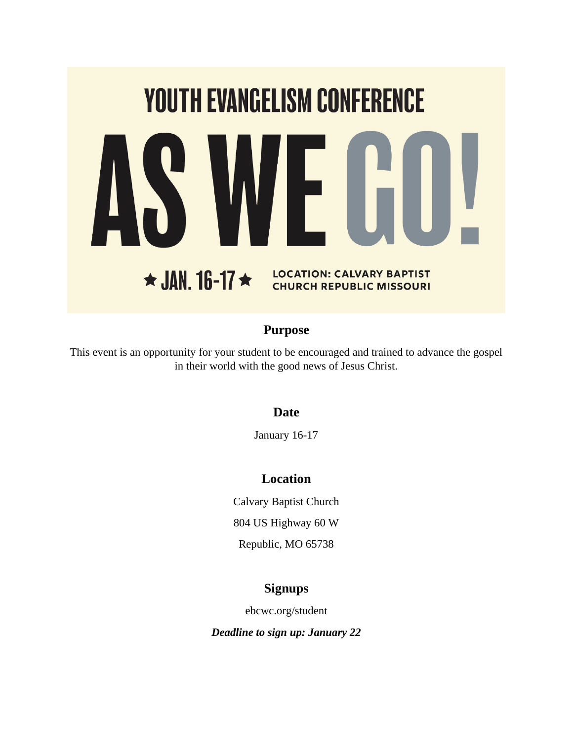

# **Purpose**

This event is an opportunity for your student to be encouraged and trained to advance the gospel in their world with the good news of Jesus Christ.

# **Date**

January 16-17

# **Location**

Calvary Baptist Church 804 US Highway 60 W

Republic, MO 65738

# **Signups**

ebcwc.org/student

*Deadline to sign up: January 22*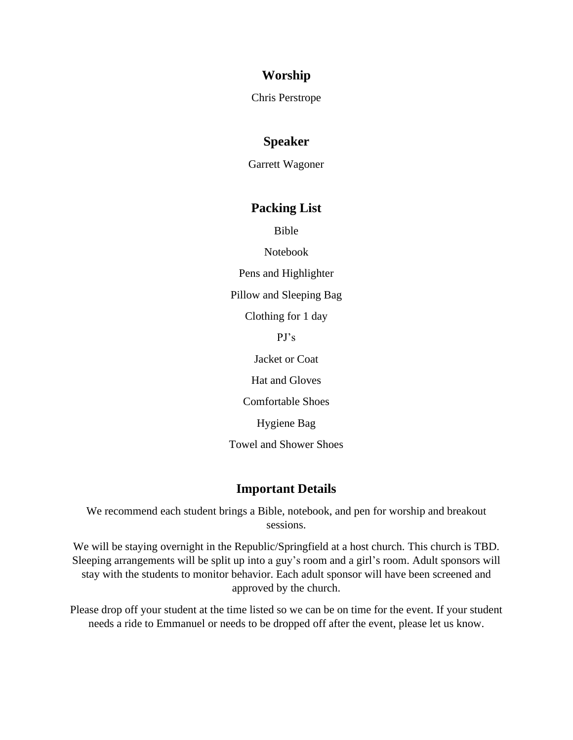### **Worship**

Chris Perstrope

### **Speaker**

Garrett Wagoner

#### **Packing List**

Bible

Notebook

Pens and Highlighter

Pillow and Sleeping Bag

Clothing for 1 day

PJ's

Jacket or Coat

Hat and Gloves

Comfortable Shoes

Hygiene Bag

Towel and Shower Shoes

#### **Important Details**

We recommend each student brings a Bible, notebook, and pen for worship and breakout sessions.

We will be staying overnight in the Republic/Springfield at a host church. This church is TBD. Sleeping arrangements will be split up into a guy's room and a girl's room. Adult sponsors will stay with the students to monitor behavior. Each adult sponsor will have been screened and approved by the church.

Please drop off your student at the time listed so we can be on time for the event. If your student needs a ride to Emmanuel or needs to be dropped off after the event, please let us know.